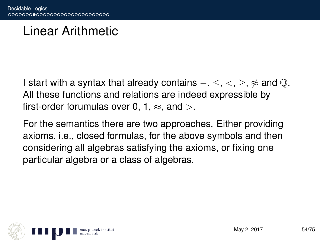## Linear Arithmetic

I start with a syntax that already contains  $-$ ,  $\leq$ ,  $\leq$ ,  $\approx$  and  $\mathbb{Q}$ . All these functions and relations are indeed expressible by first-order forumulas over 0, 1,  $\approx$ , and  $>$ .

For the semantics there are two approaches. Either providing axioms, i.e., closed formulas, for the above symbols and then considering all algebras satisfying the axioms, or fixing one particular algebra or a class of algebras.

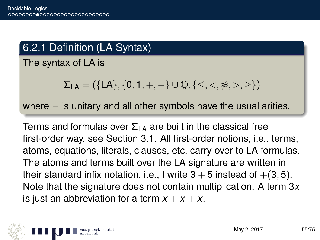### 6.2.1 Definition (LA Syntax)

The syntax of LA is

$$
\Sigma_{LA} = (\{LA\}, \{0,1,+,-\} \cup \mathbb{Q}, \{\leq,<,\not\approx,>,\geq\})
$$

where – is unitary and all other symbols have the usual arities.

Terms and formulas over  $\Sigma_{\text{LA}}$  are built in the classical free first-order way, see Section 3.1. All first-order notions, i.e., terms, atoms, equations, literals, clauses, etc. carry over to LA formulas. The atoms and terms built over the LA signature are written in their standard infix notation, i.e., I write  $3 + 5$  instead of  $+(3, 5)$ . Note that the signature does not contain multiplication. A term 3*x* is just an abbreviation for a term  $x + x + x$ .

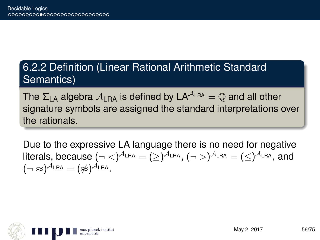### 6.2.2 Definition (Linear Rational Arithmetic Standard Semantics)

The  $\Sigma_{LA}$  algebra  $A_{LRA}$  is defined by  $LA^{A_{LRA}} = \mathbb{O}$  and all other signature symbols are assigned the standard interpretations over the rationals.

Due to the expressive LA language there is no need for negative literals, because  $(\neg <)^{\mathcal{A}_{\mathsf{LRA}}} = (\geq)^{\mathcal{A}_{\mathsf{LRA}}}, (\neg >)^{\mathcal{A}_{\mathsf{LRA}}} = (\leq)^{\mathcal{A}_{\mathsf{LRA}}}$ , and  $(\neg \approx)^{\mathcal{A}_{\mathsf{LRA}}} = (\not\approx)^{\mathcal{A}_{\mathsf{LRA}}}.$ 

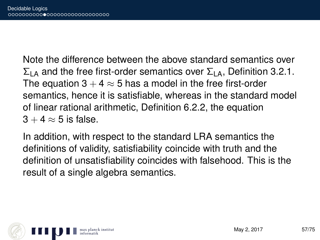Note the difference between the above standard semantics over  $\Sigma_{\text{LA}}$  and the free first-order semantics over  $\Sigma_{\text{LA}}$ , Definition 3.2.1. The equation  $3 + 4 \approx 5$  has a model in the free first-order semantics, hence it is satisfiable, whereas in the standard model of linear rational arithmetic, Definition 6.2.2, the equation  $3 + 4 \approx 5$  is false.

In addition, with respect to the standard LRA semantics the definitions of validity, satisfiability coincide with truth and the definition of unsatisfiability coincides with falsehood. This is the result of a single algebra semantics.

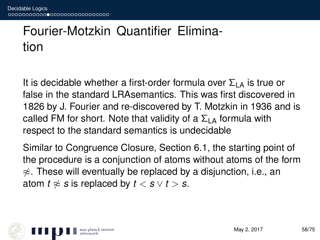## Fourier-Motzkin Quantifier Elimination

It is decidable whether a first-order formula over  $\Sigma_{LA}$  is true or false in the standard LRAsemantics. This was first discovered in 1826 by J. Fourier and re-discovered by T. Motzkin in 1936 and is called FM for short. Note that validity of a  $\Sigma_{\text{LA}}$  formula with respect to the standard semantics is undecidable

Similar to Congruence Closure, Section 6.1, the starting point of the procedure is a conjunction of atoms without atoms of the form  $\approx$ . These will eventually be replaced by a disjunction, i.e., an atom  $t \approx s$  is replaced by  $t < s \vee t > s$ .

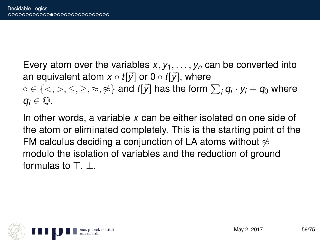Every atom over the variables  $x, y_1, \ldots, y_n$  can be converted into an equivalent atom  $x \circ t[\vec{y}]$  or  $0 \circ t[\vec{y}]$ , where  $\circ \in \{<,>,\leq,\geq,\approx,\not\approx\}$  and  $t[\vec{y}]$  has the form  $\sum_i\textit{q}_i\cdot\textit{y}_i+\textit{q}_0$  where  $q_i \in \mathbb{Q}$ .

In other words, a variable *x* can be either isolated on one side of the atom or eliminated completely. This is the starting point of the FM calculus deciding a conjunction of LA atoms without  $\approx$ modulo the isolation of variables and the reduction of ground formulas to  $\top$ .  $\bot$ .

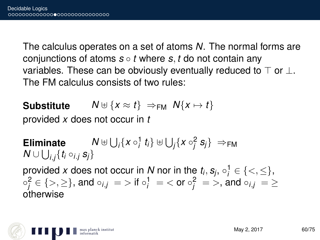The calculus operates on a set of atoms *N*. The normal forms are conjunctions of atoms *s* ◦ *t* where *s*, *t* do not contain any variables. These can be obviously eventually reduced to  $\top$  or  $\bot$ . The FM calculus consists of two rules:

**Substitute**  $N \oplus \{x \approx t\} \Rightarrow_{\text{FM}} N\{x \mapsto t\}$ 

provided *x* does not occur in *t*

**Eliminate**  $\bigcup_i \{x \circ_i^1 t_i\} \uplus \bigcup_j \{x \circ_j^2 s_j\} \implies_{\mathsf{FM}}$  $\mathcal{N} \cup \bigcup_{i,j} \{ t_i \circ_{i.j} s_j \}$ provided *x* does not occur in *N* nor in the  $t_i$ ,  $s_j$ ,  $\circ_i^1 \in \{<,\leq\}$ ,  $\circ_j^2 \in \{>,\geq\},$  and  $\circ_{i,j}\ =\ >$  if  $\circ_j^1\ =\ <$  or  $\circ_j^2\ =\ >,$  and  $\circ_{i,j}\ =\ \geq\$ otherwise

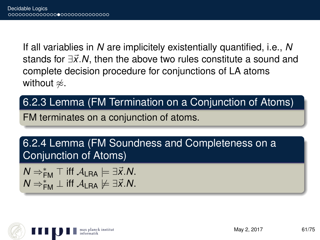If all variablies in *N* are implicitely existentially quantified, i.e., *N* stands for ∃x<sup>*'*</sup>.N, then the above two rules constitute a sound and complete decision procedure for conjunctions of LA atoms without  $\napprox$ .

### 6.2.3 Lemma (FM Termination on a Conjunction of Atoms)

FM terminates on a conjunction of atoms.

6.2.4 Lemma (FM Soundness and Completeness on a Conjunction of Atoms)

 $N \Rightarrow^*_{\mathsf{FM}} \top$  iff  $\mathcal{A}_{\mathsf{LRA}} \models \exists \vec{x} . \mathcal{N}$ .  $N \Rightarrow_{\mathsf{FM}}^* \bot$  iff  $\mathcal{A}_{\mathsf{LRA}} \not\models \exists \vec{x}.\mathsf{N}.$ 

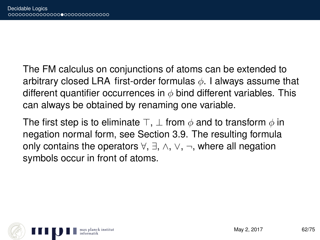The FM calculus on conjunctions of atoms can be extended to arbitrary closed LRA first-order formulas  $\phi$ . I always assume that different quantifier occurrences in  $\phi$  bind different variables. This can always be obtained by renaming one variable.

The first step is to eliminate  $\top$ ,  $\bot$  from  $\phi$  and to transform  $\phi$  in negation normal form, see Section 3.9. The resulting formula only contains the operators ∀, ∃, ∧, ∨, ¬, where all negation symbols occur in front of atoms.

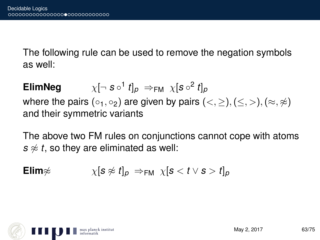The following rule can be used to remove the negation symbols as well:

**ElimNeg**  $\mathfrak{f}$   $t]_{\rho} \Rightarrow_{\mathsf{FM}} \chi[\mathfrak{s} \circ ^2 t]_{\rho}$ where the pairs (∘<sub>1</sub>, ∘<sub>2</sub>) are given by pairs (<, ≥), (≤, >), (≈, ≉) and their symmetric variants

The above two FM rules on conjunctions cannot cope with atoms  $s \not\approx t$ , so they are eliminated as well:

$$
\text{Elim}\ncong \qquad \qquad \chi[\mathbf{s}\ncong t]_p \Rightarrow_{\text{FM}} \chi[\mathbf{s} < t \vee \mathbf{s} > t]_p
$$

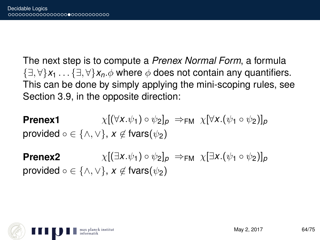The next step is to compute a *Prenex Normal Form*, a formula {∃, ∀}*x*<sup>1</sup> . . . {∃, ∀}*xn*.φ where φ does not contain any quantifiers. This can be done by simply applying the mini-scoping rules, see Section 3.9, in the opposite direction:

**Prenex1**  $\chi[(\forall x.\psi_1) \circ \psi_2]_p \Rightarrow_{\text{FM}} \chi[\forall x.(\psi_1 \circ \psi_2)]_p$ provided  $\circ \in \{\wedge, \vee\}$ ,  $x \notin \mathsf{fvars}(\psi_2)$ 

**Prenex2**  $\chi[(\exists x.\psi_1) \circ \psi_2]_p \Rightarrow_{\text{FM}} \chi[\exists x.(\psi_1 \circ \psi_2)]_p$ provided  $\circ \in \{\wedge, \vee\}, x \notin \mathsf{fvars}(\psi_2)$ 

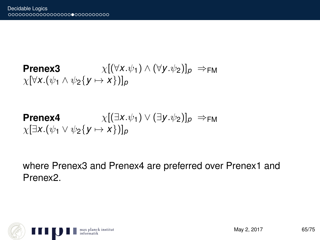**Prenex3**  $\chi[(\forall x.\psi_1) \wedge (\forall y.\psi_2)]_p \Rightarrow_{\text{FM}}$  $\chi[\forall x.(\psi_1 \wedge \psi_2\{y \mapsto x\})]_p$ 

**Prenex4**  $\chi[(\exists x.\psi_1) \vee (\exists y.\psi_2)]_p \Rightarrow_{\text{FM}}$  $\chi$  $[\exists x.(\psi_1 \vee \psi_2 \{ \mathsf{y} \mapsto \mathsf{x} \})]_p$ 

where Prenex3 and Prenex4 are preferred over Prenex1 and Prenex2.

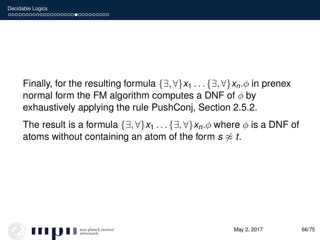Finally, for the resulting formula  $\{\exists, \forall\}x_1 \dots \{\exists, \forall\}x_n \phi$  in prenex normal form the FM algorithm computes a DNF of  $\phi$  by exhaustively applying the rule PushConj, Section 2.5.2.

The result is a formula  $\{\exists, \forall\}x_1 \dots \{\exists, \forall\}x_n \phi$  where  $\phi$  is a DNF of atoms without containing an atom of the form  $s \approx t$ .

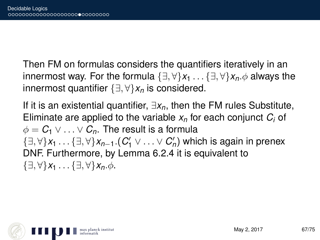Then FM on formulas considers the quantifiers iteratively in an innermost way. For the formula  $\{\exists, \forall\}x_1 \dots \{\exists, \forall\}x_n \phi$  always the innermost quantifier {∃, ∀}*x<sup>n</sup>* is considered.

If it is an existential quantifier, ∃*xn*, then the FM rules Substitute, Eliminate are applied to the variable *x<sup>n</sup>* for each conjunct *C<sup>i</sup>* of  $\phi = C_1 \vee \ldots \vee C_n$ . The result is a formula {∃, ∀}*x*<sup>1</sup> . . . {∃, ∀}*xn*−1.(*C* 0 <sup>1</sup> ∨ . . . ∨ *C* 0 *n* ) which is again in prenex DNF. Furthermore, by Lemma 6.2.4 it is equivalent to  $\{\exists, \forall\}x_1 \ldots \{\exists, \forall\}x_n.\phi.$ 

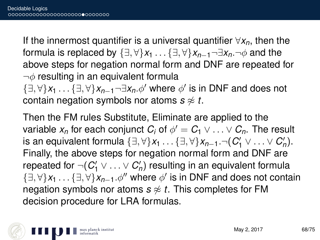If the innermost quantifier is a universal quantifier ∀*xn*, then the formula is replaced by  $\{\exists, \forall\}x_1 \dots \{\exists, \forall\}x_{n-1} \neg \exists x_n \neg \phi$  and the above steps for negation normal form and DNF are repeated for  $\neg\phi$  resulting in an equivalent formula

{∃, ∀}*x*<sup>1</sup> . . . {∃, ∀}*xn*−1¬∃*xn*.φ<sup>0</sup> where φ 0 is in DNF and does not contain negation symbols nor atoms  $s \not\approx t$ .

Then the FM rules Substitute, Eliminate are applied to the variable  $x_n$  for each conjunct  $C_i$  of  $\phi' = C_1 \vee \ldots \vee C_n.$  The result is an equivalent formula  $\{\exists, \forall\}x_1 \ldots \{\exists, \forall\}x_{n-1}.\neg(C'_1 \vee \ldots \vee C'_n).$ Finally, the above steps for negation normal form and DNF are repeated for  $\neg(C'_1 \vee \ldots \vee C'_n)$  resulting in an equivalent formula {∃, ∀}*x*<sup>1</sup> . . . {∃, ∀}*xn*−1.φ<sup>00</sup> where φ 0 is in DNF and does not contain negation symbols nor atoms  $s \not\approx t$ . This completes for FM decision procedure for LRA formulas.

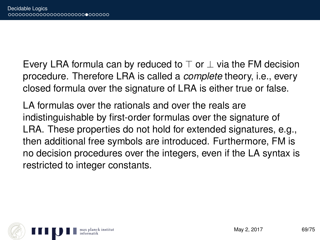Every LRA formula can by reduced to  $\top$  or  $\bot$  via the FM decision procedure. Therefore LRA is called a *complete* theory, i.e., every closed formula over the signature of LRA is either true or false.

LA formulas over the rationals and over the reals are indistinguishable by first-order formulas over the signature of LRA. These properties do not hold for extended signatures, e.g., then additional free symbols are introduced. Furthermore, FM is no decision procedures over the integers, even if the LA syntax is restricted to integer constants.

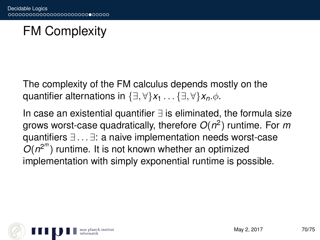# FM Complexity

The complexity of the FM calculus depends mostly on the quantifier alternations in  $\{\exists, \forall\}x_1 \dots \{\exists, \forall\}x_n \phi$ .

In case an existential quantifier ∃ is eliminated, the formula size grows worst-case quadratically, therefore *O*(*n* 2 ) runtime. For *m* quantifiers ∃ . . . ∃: a naive implementation needs worst-case  $O(n^{2^m})$  runtime. It is not known whether an optimized implementation with simply exponential runtime is possible.